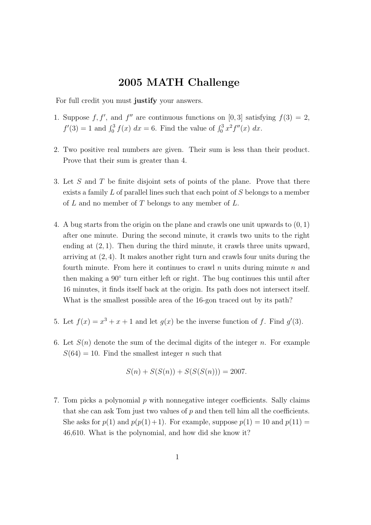## 2005 MATH Challenge

For full credit you must justify your answers.

- 1. Suppose f, f', and f'' are continuous functions on [0,3] satisfying  $f(3) = 2$ ,  $f'(3) = 1$  and  $\int_0^3 f(x) dx = 6$ . Find the value of  $\int_0^3 x^2 f''(x) dx$ .
- 2. Two positive real numbers are given. Their sum is less than their product. Prove that their sum is greater than 4.
- 3. Let S and T be finite disjoint sets of points of the plane. Prove that there exists a family L of parallel lines such that each point of S belongs to a member of  $L$  and no member of  $T$  belongs to any member of  $L$ .
- 4. A bug starts from the origin on the plane and crawls one unit upwards to (0, 1) after one minute. During the second minute, it crawls two units to the right ending at (2, 1). Then during the third minute, it crawls three units upward, arriving at  $(2, 4)$ . It makes another right turn and crawls four units during the fourth minute. From here it continues to crawl  $n$  units during minute  $n$  and then making a  $90°$  turn either left or right. The bug continues this until after 16 minutes, it finds itself back at the origin. Its path does not intersect itself. What is the smallest possible area of the 16-gon traced out by its path?
- 5. Let  $f(x) = x^3 + x + 1$  and let  $g(x)$  be the inverse function of f. Find  $g'(3)$ .
- 6. Let  $S(n)$  denote the sum of the decimal digits of the integer n. For example  $S(64) = 10$ . Find the smallest integer *n* such that

$$
S(n) + S(S(n)) + S(S(S(n))) = 2007.
$$

7. Tom picks a polynomial  $p$  with nonnegative integer coefficients. Sally claims that she can ask Tom just two values of  $p$  and then tell him all the coefficients. She asks for  $p(1)$  and  $p(p(1)+1)$ . For example, suppose  $p(1) = 10$  and  $p(11) =$ 46,610. What is the polynomial, and how did she know it?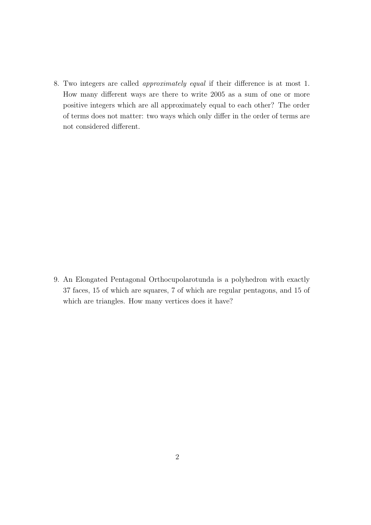8. Two integers are called approximately equal if their difference is at most 1. How many different ways are there to write 2005 as a sum of one or more positive integers which are all approximately equal to each other? The order of terms does not matter: two ways which only differ in the order of terms are not considered different.

9. An Elongated Pentagonal Orthocupolarotunda is a polyhedron with exactly 37 faces, 15 of which are squares, 7 of which are regular pentagons, and 15 of which are triangles. How many vertices does it have?